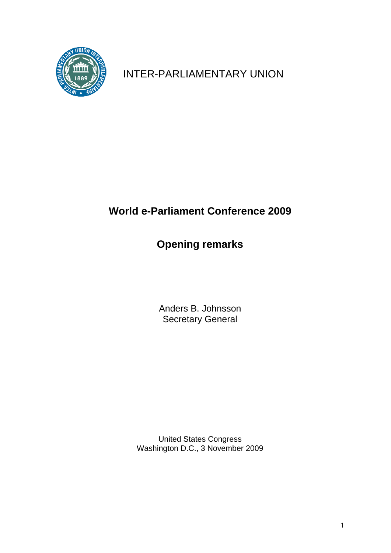

INTER-PARLIAMENTARY UNION

## **World e-Parliament Conference 2009**

## **Opening remarks**

Anders B. Johnsson Secretary General

United States Congress Washington D.C., 3 November 2009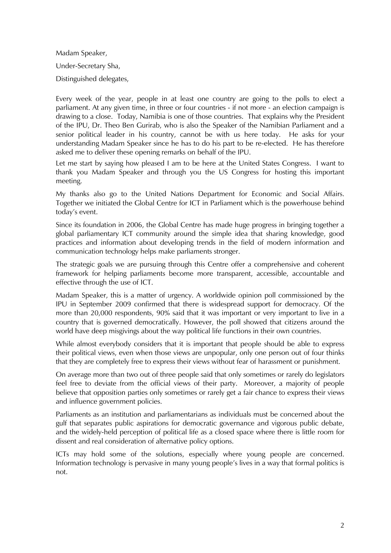Madam Speaker, Under-Secretary Sha, Distinguished delegates,

Every week of the year, people in at least one country are going to the polls to elect a parliament. At any given time, in three or four countries - if not more - an election campaign is drawing to a close. Today, Namibia is one of those countries. That explains why the President of the IPU, Dr. Theo Ben Gurirab, who is also the Speaker of the Namibian Parliament and a senior political leader in his country, cannot be with us here today. He asks for your understanding Madam Speaker since he has to do his part to be re-elected. He has therefore asked me to deliver these opening remarks on behalf of the IPU.

Let me start by saying how pleased I am to be here at the United States Congress. I want to thank you Madam Speaker and through you the US Congress for hosting this important meeting.

My thanks also go to the United Nations Department for Economic and Social Affairs. Together we initiated the Global Centre for ICT in Parliament which is the powerhouse behind today's event.

Since its foundation in 2006, the Global Centre has made huge progress in bringing together a global parliamentary ICT community around the simple idea that sharing knowledge, good practices and information about developing trends in the field of modern information and communication technology helps make parliaments stronger.

The strategic goals we are pursuing through this Centre offer a comprehensive and coherent framework for helping parliaments become more transparent, accessible, accountable and effective through the use of ICT.

Madam Speaker, this is a matter of urgency. A worldwide opinion poll commissioned by the IPU in September 2009 confirmed that there is widespread support for democracy. Of the more than 20,000 respondents, 90% said that it was important or very important to live in a country that is governed democratically. However, the poll showed that citizens around the world have deep misgivings about the way political life functions in their own countries.

While almost everybody considers that it is important that people should be able to express their political views, even when those views are unpopular, only one person out of four thinks that they are completely free to express their views without fear of harassment or punishment.

On average more than two out of three people said that only sometimes or rarely do legislators feel free to deviate from the official views of their party. Moreover, a majority of people believe that opposition parties only sometimes or rarely get a fair chance to express their views and influence government policies.

Parliaments as an institution and parliamentarians as individuals must be concerned about the gulf that separates public aspirations for democratic governance and vigorous public debate, and the widely-held perception of political life as a closed space where there is little room for dissent and real consideration of alternative policy options.

ICTs may hold some of the solutions, especially where young people are concerned. Information technology is pervasive in many young people's lives in a way that formal politics is not.